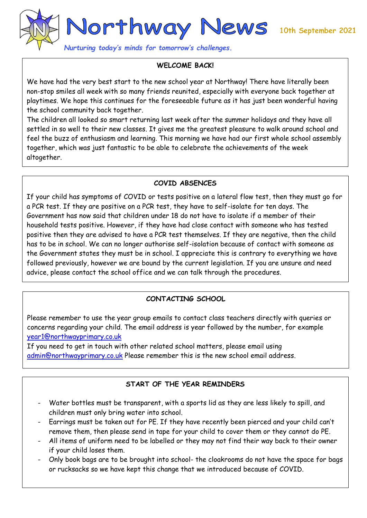

*Nurturing today's minds for tomorrow's challenges.* 

#### **WELCOME BACK!**

We have had the very best start to the new school year at Northway! There have literally been non-stop smiles all week with so many friends reunited, especially with everyone back together at playtimes. We hope this continues for the foreseeable future as it has just been wonderful having the school community back together.

The children all looked so smart returning last week after the summer holidays and they have all settled in so well to their new classes. It gives me the greatest pleasure to walk around school and feel the buzz of enthusiasm and learning. This morning we have had our first whole school assembly together, which was just fantastic to be able to celebrate the achievements of the week altogether.

### **COVID ABSENCES**

If your child has symptoms of COVID or tests positive on a lateral flow test, then they must go for a PCR test. If they are positive on a PCR test, they have to self-isolate for ten days. The Government has now said that children under 18 do not have to isolate if a member of their household tests positive. However, if they have had close contact with someone who has tested positive then they are advised to have a PCR test themselves. If they are negative, then the child has to be in school. We can no longer authorise self-isolation because of contact with someone as the Government states they must be in school. I appreciate this is contrary to everything we have followed previously, however we are bound by the current legislation. If you are unsure and need advice, please contact the school office and we can talk through the procedures.

# **CONTACTING SCHOOL**

Please remember to use the year group emails to contact class teachers directly with queries or concerns regarding your child. The email address is year followed by the number, for example [year1@northwayprimary.co.uk](mailto:year1@northwayprimary.co.uk)

If you need to get in touch with other related school matters, please email using [admin@northwayprimary.co.uk](mailto:admin@northwayprimary.co.uk) Please remember this is the new school email address.

# **START OF THE YEAR REMINDERS**

- Water bottles must be transparent, with a sports lid as they are less likely to spill, and children must only bring water into school.
- Earrings must be taken out for PE. If they have recently been pierced and your child can't remove them, then please send in tape for your child to cover them or they cannot do PE.
- All items of uniform need to be labelled or they may not find their way back to their owner if your child loses them.
- Only book bags are to be brought into school- the cloakrooms do not have the space for bags or rucksacks so we have kept this change that we introduced because of COVID.